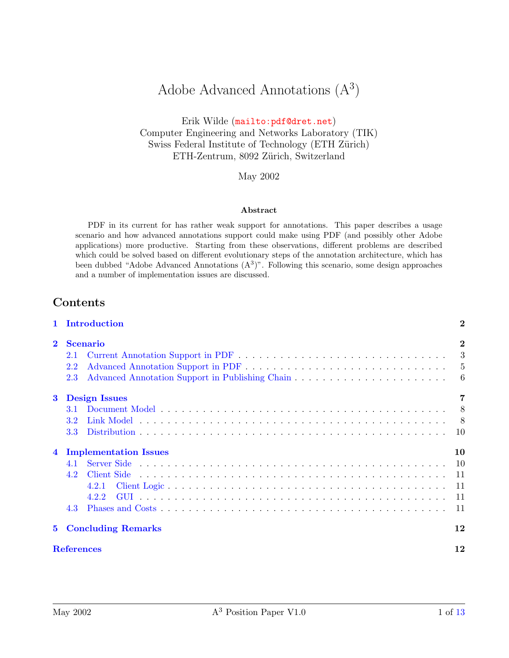# Adobe Advanced Annotations  $(A^3)$

Erik Wilde (<mailto:pdf@dret.net>) Computer Engineering and Networks Laboratory (TIK) Swiss Federal Institute of Technology (ETH Zürich) ETH-Zentrum, 8092 Zürich, Switzerland

May 2002

#### Abstract

PDF in its current for has rather weak support for annotations. This paper describes a usage scenario and how advanced annotations support could make using PDF (and possibly other Adobe applications) more productive. Starting from these observations, different problems are described which could be solved based on different evolutionary steps of the annotation architecture, which has been dubbed "Adobe Advanced Annotations  $(A<sup>3</sup>)$ ". Following this scenario, some design approaches and a number of implementation issues are discussed.

### Contents

|                | Introduction                                                        | $\bf{2}$                        |
|----------------|---------------------------------------------------------------------|---------------------------------|
| $\mathbf{2}$   | <b>Scenario</b><br>2.1<br>2.2<br>2.3                                | $\bf{2}$<br>3<br>6              |
| $\bf{3}$       | <b>Design Issues</b><br>3.1<br>3.2<br>3.3                           | 7<br>8 <sup>8</sup>             |
| $\overline{4}$ | <b>Implementation Issues</b><br>4.1<br>4.2<br>4.2.1<br>4.2.2<br>4.3 | 10<br>-10<br>-11<br>- 11<br>-11 |
| $5^{\circ}$    | <b>Concluding Remarks</b>                                           | 12                              |
|                | <b>References</b>                                                   | 12                              |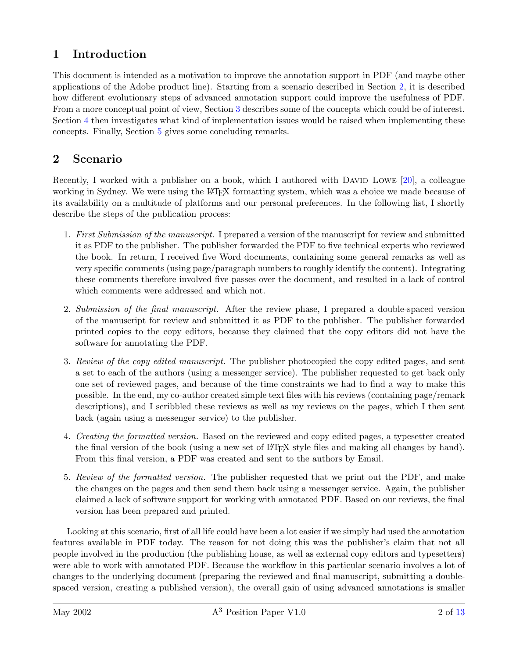## <span id="page-1-0"></span>1 Introduction

This document is intended as a motivation to improve the annotation support in PDF (and maybe other applications of the Adobe product line). Starting from a scenario described in Section 2, it is described how different evolutionary steps of advanced annotation support could improve the usefulness of PDF. From a more conceptual point of view, Section [3](#page-6-0) describes some of the concepts which could be of interest. Section [4](#page-9-0) then investigates what kind of implementation issues would be raised when implementing these concepts. Finally, Section [5](#page-11-0) gives some concluding remarks.

## 2 Scenario

Recently, I worked with a publisher on a book, which I authored with DAVID LOWE [\[20\]](#page-12-0), a colleague working in Sydney. We were using the LAT<sub>EX</sub> formatting system, which was a choice we made because of its availability on a multitude of platforms and our personal preferences. In the following list, I shortly describe the steps of the publication process:

- 1. First Submission of the manuscript. I prepared a version of the manuscript for review and submitted it as PDF to the publisher. The publisher forwarded the PDF to five technical experts who reviewed the book. In return, I received five Word documents, containing some general remarks as well as very specific comments (using page/paragraph numbers to roughly identify the content). Integrating these comments therefore involved five passes over the document, and resulted in a lack of control which comments were addressed and which not.
- 2. Submission of the final manuscript. After the review phase, I prepared a double-spaced version of the manuscript for review and submitted it as PDF to the publisher. The publisher forwarded printed copies to the copy editors, because they claimed that the copy editors did not have the software for annotating the PDF.
- 3. Review of the copy edited manuscript. The publisher photocopied the copy edited pages, and sent a set to each of the authors (using a messenger service). The publisher requested to get back only one set of reviewed pages, and because of the time constraints we had to find a way to make this possible. In the end, my co-author created simple text files with his reviews (containing page/remark descriptions), and I scribbled these reviews as well as my reviews on the pages, which I then sent back (again using a messenger service) to the publisher.
- 4. Creating the formatted version. Based on the reviewed and copy edited pages, a typesetter created the final version of the book (using a new set of LATEX style files and making all changes by hand). From this final version, a PDF was created and sent to the authors by Email.
- 5. Review of the formatted version. The publisher requested that we print out the PDF, and make the changes on the pages and then send them back using a messenger service. Again, the publisher claimed a lack of software support for working with annotated PDF. Based on our reviews, the final version has been prepared and printed.

Looking at this scenario, first of all life could have been a lot easier if we simply had used the annotation features available in PDF today. The reason for not doing this was the publisher's claim that not all people involved in the production (the publishing house, as well as external copy editors and typesetters) were able to work with annotated PDF. Because the workflow in this particular scenario involves a lot of changes to the underlying document (preparing the reviewed and final manuscript, submitting a doublespaced version, creating a published version), the overall gain of using advanced annotations is smaller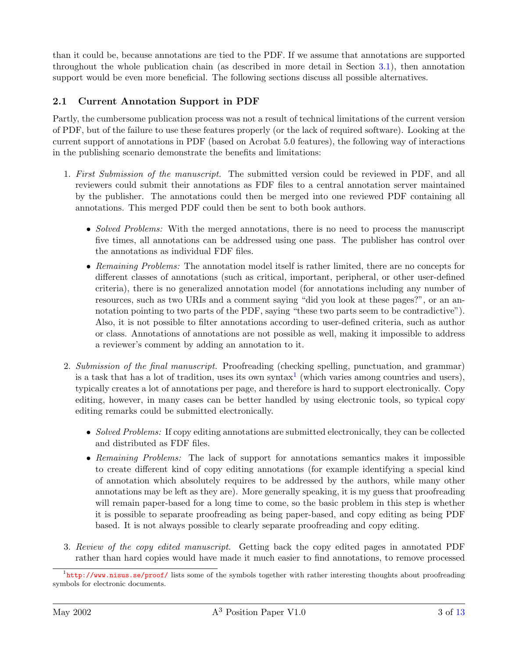<span id="page-2-0"></span>than it could be, because annotations are tied to the PDF. If we assume that annotations are supported throughout the whole publication chain (as described in more detail in Section [3.1\)](#page-7-0), then annotation support would be even more beneficial. The following sections discuss all possible alternatives.

### 2.1 Current Annotation Support in PDF

Partly, the cumbersome publication process was not a result of technical limitations of the current version of PDF, but of the failure to use these features properly (or the lack of required software). Looking at the current support of annotations in PDF (based on Acrobat 5.0 features), the following way of interactions in the publishing scenario demonstrate the benefits and limitations:

- 1. First Submission of the manuscript. The submitted version could be reviewed in PDF, and all reviewers could submit their annotations as FDF files to a central annotation server maintained by the publisher. The annotations could then be merged into one reviewed PDF containing all annotations. This merged PDF could then be sent to both book authors.
	- Solved Problems: With the merged annotations, there is no need to process the manuscript five times, all annotations can be addressed using one pass. The publisher has control over the annotations as individual FDF files.
	- Remaining Problems: The annotation model itself is rather limited, there are no concepts for different classes of annotations (such as critical, important, peripheral, or other user-defined criteria), there is no generalized annotation model (for annotations including any number of resources, such as two URIs and a comment saying "did you look at these pages?", or an annotation pointing to two parts of the PDF, saying "these two parts seem to be contradictive"). Also, it is not possible to filter annotations according to user-defined criteria, such as author or class. Annotations of annotations are not possible as well, making it impossible to address a reviewer's comment by adding an annotation to it.
- 2. Submission of the final manuscript. Proofreading (checking spelling, punctuation, and grammar) is a task that has a lot of tradition, uses its own syntax<sup>1</sup> (which varies among countries and users), typically creates a lot of annotations per page, and therefore is hard to support electronically. Copy editing, however, in many cases can be better handled by using electronic tools, so typical copy editing remarks could be submitted electronically.
	- Solved Problems: If copy editing annotations are submitted electronically, they can be collected and distributed as FDF files.
	- Remaining Problems: The lack of support for annotations semantics makes it impossible to create different kind of copy editing annotations (for example identifying a special kind of annotation which absolutely requires to be addressed by the authors, while many other annotations may be left as they are). More generally speaking, it is my guess that proofreading will remain paper-based for a long time to come, so the basic problem in this step is whether it is possible to separate proofreading as being paper-based, and copy editing as being PDF based. It is not always possible to clearly separate proofreading and copy editing.
- 3. Review of the copy edited manuscript. Getting back the copy edited pages in annotated PDF rather than hard copies would have made it much easier to find annotations, to remove processed

<sup>&</sup>lt;sup>1</sup><http://www.nisus.se/proof/> lists some of the symbols together with rather interesting thoughts about proofreading symbols for electronic documents.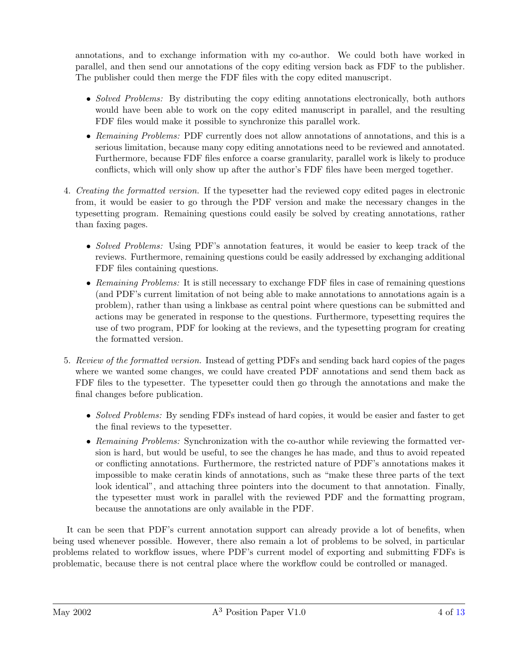annotations, and to exchange information with my co-author. We could both have worked in parallel, and then send our annotations of the copy editing version back as FDF to the publisher. The publisher could then merge the FDF files with the copy edited manuscript.

- Solved Problems: By distributing the copy editing annotations electronically, both authors would have been able to work on the copy edited manuscript in parallel, and the resulting FDF files would make it possible to synchronize this parallel work.
- Remaining Problems: PDF currently does not allow annotations of annotations, and this is a serious limitation, because many copy editing annotations need to be reviewed and annotated. Furthermore, because FDF files enforce a coarse granularity, parallel work is likely to produce conflicts, which will only show up after the author's FDF files have been merged together.
- 4. Creating the formatted version. If the typesetter had the reviewed copy edited pages in electronic from, it would be easier to go through the PDF version and make the necessary changes in the typesetting program. Remaining questions could easily be solved by creating annotations, rather than faxing pages.
	- Solved Problems: Using PDF's annotation features, it would be easier to keep track of the reviews. Furthermore, remaining questions could be easily addressed by exchanging additional FDF files containing questions.
	- Remaining Problems: It is still necessary to exchange FDF files in case of remaining questions (and PDF's current limitation of not being able to make annotations to annotations again is a problem), rather than using a linkbase as central point where questions can be submitted and actions may be generated in response to the questions. Furthermore, typesetting requires the use of two program, PDF for looking at the reviews, and the typesetting program for creating the formatted version.
- 5. Review of the formatted version. Instead of getting PDFs and sending back hard copies of the pages where we wanted some changes, we could have created PDF annotations and send them back as FDF files to the typesetter. The typesetter could then go through the annotations and make the final changes before publication.
	- Solved Problems: By sending FDFs instead of hard copies, it would be easier and faster to get the final reviews to the typesetter.
	- Remaining Problems: Synchronization with the co-author while reviewing the formatted version is hard, but would be useful, to see the changes he has made, and thus to avoid repeated or conflicting annotations. Furthermore, the restricted nature of PDF's annotations makes it impossible to make ceratin kinds of annotations, such as "make these three parts of the text look identical", and attaching three pointers into the document to that annotation. Finally, the typesetter must work in parallel with the reviewed PDF and the formatting program, because the annotations are only available in the PDF.

It can be seen that PDF's current annotation support can already provide a lot of benefits, when being used whenever possible. However, there also remain a lot of problems to be solved, in particular problems related to workflow issues, where PDF's current model of exporting and submitting FDFs is problematic, because there is not central place where the workflow could be controlled or managed.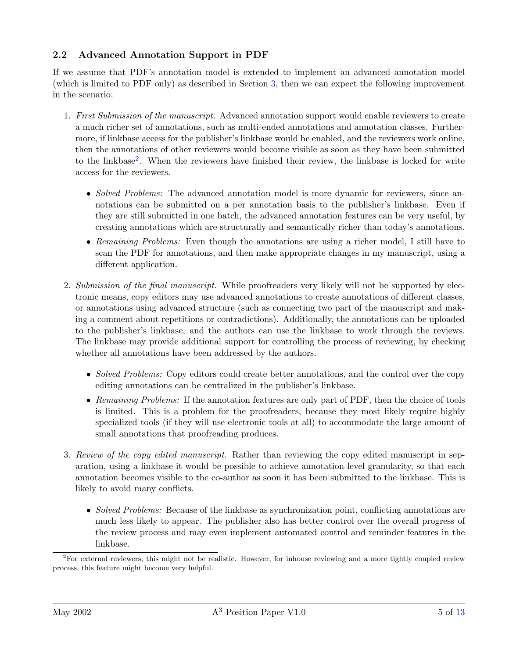### <span id="page-4-0"></span>2.2 Advanced Annotation Support in PDF

If we assume that PDF's annotation model is extended to implement an advanced annotation model (which is limited to PDF only) as described in Section [3,](#page-6-0) then we can expect the following improvement in the scenario:

- 1. First Submission of the manuscript. Advanced annotation support would enable reviewers to create a much richer set of annotations, such as multi-ended annotations and annotation classes. Furthermore, if linkbase access for the publisher's linkbase would be enabled, and the reviewers work online, then the annotations of other reviewers would become visible as soon as they have been submitted to the linkbase<sup>2</sup>. When the reviewers have finished their review, the linkbase is locked for write access for the reviewers.
	- Solved Problems: The advanced annotation model is more dynamic for reviewers, since annotations can be submitted on a per annotation basis to the publisher's linkbase. Even if they are still submitted in one batch, the advanced annotation features can be very useful, by creating annotations which are structurally and semantically richer than today's annotations.
	- Remaining Problems: Even though the annotations are using a richer model, I still have to scan the PDF for annotations, and then make appropriate changes in my manuscript, using a different application.
- 2. Submission of the final manuscript. While proofreaders very likely will not be supported by electronic means, copy editors may use advanced annotations to create annotations of different classes, or annotations using advanced structure (such as connecting two part of the manuscript and making a comment about repetitions or contradictions). Additionally, the annotations can be uploaded to the publisher's linkbase, and the authors can use the linkbase to work through the reviews. The linkbase may provide additional support for controlling the process of reviewing, by checking whether all annotations have been addressed by the authors.
	- Solved Problems: Copy editors could create better annotations, and the control over the copy editing annotations can be centralized in the publisher's linkbase.
	- Remaining Problems: If the annotation features are only part of PDF, then the choice of tools is limited. This is a problem for the proofreaders, because they most likely require highly specialized tools (if they will use electronic tools at all) to accommodate the large amount of small annotations that proofreading produces.
- 3. Review of the copy edited manuscript. Rather than reviewing the copy edited manuscript in separation, using a linkbase it would be possible to achieve annotation-level granularity, so that each annotation becomes visible to the co-author as soon it has been submitted to the linkbase. This is likely to avoid many conflicts.
	- Solved Problems: Because of the linkbase as synchronization point, conflicting annotations are much less likely to appear. The publisher also has better control over the overall progress of the review process and may even implement automated control and reminder features in the linkbase.

 $2^2$ For external reviewers, this might not be realistic. However, for inhouse reviewing and a more tightly coupled review process, this feature might become very helpful.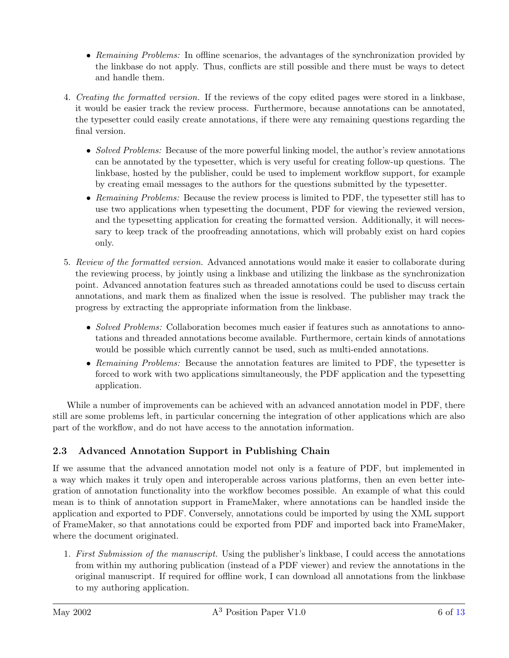- <span id="page-5-0"></span>• Remaining Problems: In offline scenarios, the advantages of the synchronization provided by the linkbase do not apply. Thus, conflicts are still possible and there must be ways to detect and handle them.
- 4. Creating the formatted version. If the reviews of the copy edited pages were stored in a linkbase, it would be easier track the review process. Furthermore, because annotations can be annotated, the typesetter could easily create annotations, if there were any remaining questions regarding the final version.
	- Solved Problems: Because of the more powerful linking model, the author's review annotations can be annotated by the typesetter, which is very useful for creating follow-up questions. The linkbase, hosted by the publisher, could be used to implement workflow support, for example by creating email messages to the authors for the questions submitted by the typesetter.
	- Remaining Problems: Because the review process is limited to PDF, the typesetter still has to use two applications when typesetting the document, PDF for viewing the reviewed version, and the typesetting application for creating the formatted version. Additionally, it will necessary to keep track of the proofreading annotations, which will probably exist on hard copies only.
- 5. Review of the formatted version. Advanced annotations would make it easier to collaborate during the reviewing process, by jointly using a linkbase and utilizing the linkbase as the synchronization point. Advanced annotation features such as threaded annotations could be used to discuss certain annotations, and mark them as finalized when the issue is resolved. The publisher may track the progress by extracting the appropriate information from the linkbase.
	- Solved Problems: Collaboration becomes much easier if features such as annotations to annotations and threaded annotations become available. Furthermore, certain kinds of annotations would be possible which currently cannot be used, such as multi-ended annotations.
	- Remaining Problems: Because the annotation features are limited to PDF, the typesetter is forced to work with two applications simultaneously, the PDF application and the typesetting application.

While a number of improvements can be achieved with an advanced annotation model in PDF, there still are some problems left, in particular concerning the integration of other applications which are also part of the workflow, and do not have access to the annotation information.

## 2.3 Advanced Annotation Support in Publishing Chain

If we assume that the advanced annotation model not only is a feature of PDF, but implemented in a way which makes it truly open and interoperable across various platforms, then an even better integration of annotation functionality into the workflow becomes possible. An example of what this could mean is to think of annotation support in FrameMaker, where annotations can be handled inside the application and exported to PDF. Conversely, annotations could be imported by using the XML support of FrameMaker, so that annotations could be exported from PDF and imported back into FrameMaker, where the document originated.

1. First Submission of the manuscript. Using the publisher's linkbase, I could access the annotations from within my authoring publication (instead of a PDF viewer) and review the annotations in the original manuscript. If required for offline work, I can download all annotations from the linkbase to my authoring application.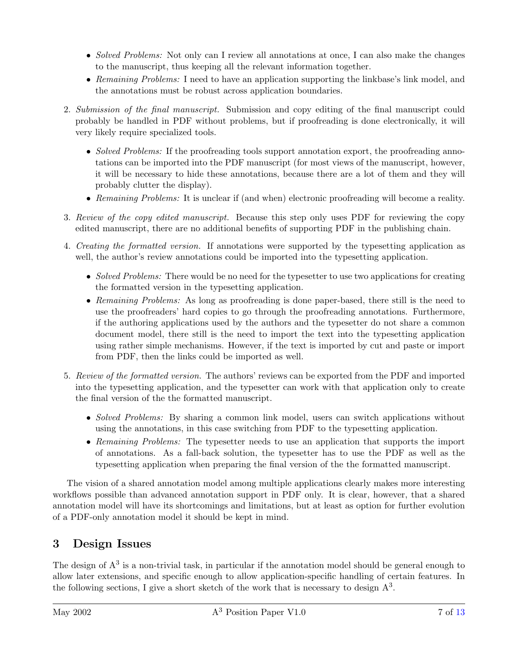- <span id="page-6-0"></span>• Solved Problems: Not only can I review all annotations at once, I can also make the changes to the manuscript, thus keeping all the relevant information together.
- Remaining Problems: I need to have an application supporting the linkbase's link model, and the annotations must be robust across application boundaries.
- 2. Submission of the final manuscript. Submission and copy editing of the final manuscript could probably be handled in PDF without problems, but if proofreading is done electronically, it will very likely require specialized tools.
	- Solved Problems: If the proofreading tools support annotation export, the proofreading annotations can be imported into the PDF manuscript (for most views of the manuscript, however, it will be necessary to hide these annotations, because there are a lot of them and they will probably clutter the display).
	- Remaining Problems: It is unclear if (and when) electronic proofreading will become a reality.
- 3. Review of the copy edited manuscript. Because this step only uses PDF for reviewing the copy edited manuscript, there are no additional benefits of supporting PDF in the publishing chain.
- 4. Creating the formatted version. If annotations were supported by the typesetting application as well, the author's review annotations could be imported into the typesetting application.
	- Solved Problems: There would be no need for the typesetter to use two applications for creating the formatted version in the typesetting application.
	- Remaining Problems: As long as proofreading is done paper-based, there still is the need to use the proofreaders' hard copies to go through the proofreading annotations. Furthermore, if the authoring applications used by the authors and the typesetter do not share a common document model, there still is the need to import the text into the typesetting application using rather simple mechanisms. However, if the text is imported by cut and paste or import from PDF, then the links could be imported as well.
- 5. Review of the formatted version. The authors' reviews can be exported from the PDF and imported into the typesetting application, and the typesetter can work with that application only to create the final version of the the formatted manuscript.
	- Solved Problems: By sharing a common link model, users can switch applications without using the annotations, in this case switching from PDF to the typesetting application.
	- Remaining Problems: The typesetter needs to use an application that supports the import of annotations. As a fall-back solution, the typesetter has to use the PDF as well as the typesetting application when preparing the final version of the the formatted manuscript.

The vision of a shared annotation model among multiple applications clearly makes more interesting workflows possible than advanced annotation support in PDF only. It is clear, however, that a shared annotation model will have its shortcomings and limitations, but at least as option for further evolution of a PDF-only annotation model it should be kept in mind.

## 3 Design Issues

The design of  $A<sup>3</sup>$  is a non-trivial task, in particular if the annotation model should be general enough to allow later extensions, and specific enough to allow application-specific handling of certain features. In the following sections, I give a short sketch of the work that is necessary to design  $A<sup>3</sup>$ .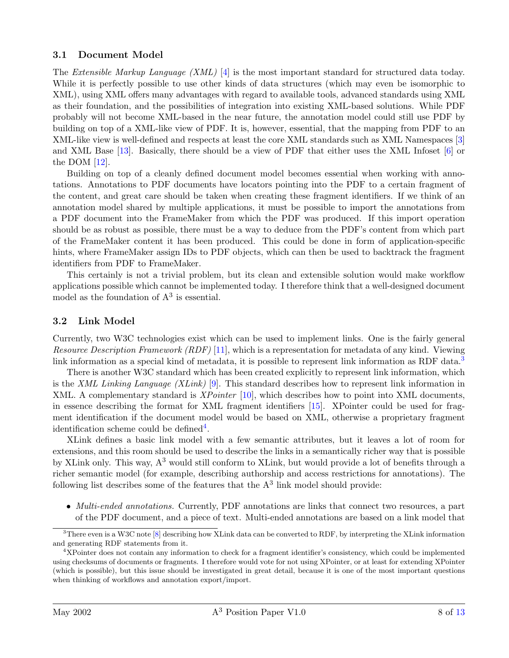#### <span id="page-7-0"></span>3.1 Document Model

The Extensible Markup Language (XML) [\[4\]](#page-12-0) is the most important standard for structured data today. While it is perfectly possible to use other kinds of data structures (which may even be isomorphic to XML), using XML offers many advantages with regard to available tools, advanced standards using XML as their foundation, and the possibilities of integration into existing XML-based solutions. While PDF probably will not become XML-based in the near future, the annotation model could still use PDF by building on top of a XML-like view of PDF. It is, however, essential, that the mapping from PDF to an XML-like view is well-defined and respects at least the core XML standards such as XML Namespaces [\[3\]](#page-12-0) and XML Base [\[13\]](#page-12-0). Basically, there should be a view of PDF that either uses the XML Infoset [\[6\]](#page-12-0) or the DOM [\[12\]](#page-12-0).

Building on top of a cleanly defined document model becomes essential when working with annotations. Annotations to PDF documents have locators pointing into the PDF to a certain fragment of the content, and great care should be taken when creating these fragment identifiers. If we think of an annotation model shared by multiple applications, it must be possible to import the annotations from a PDF document into the FrameMaker from which the PDF was produced. If this import operation should be as robust as possible, there must be a way to deduce from the PDF's content from which part of the FrameMaker content it has been produced. This could be done in form of application-specific hints, where FrameMaker assign IDs to PDF objects, which can then be used to backtrack the fragment identifiers from PDF to FrameMaker.

This certainly is not a trivial problem, but its clean and extensible solution would make workflow applications possible which cannot be implemented today. I therefore think that a well-designed document model as the foundation of  $A<sup>3</sup>$  is essential.

#### 3.2 Link Model

Currently, two W3C technologies exist which can be used to implement links. One is the fairly general Resource Description Framework (RDF) [\[11\]](#page-12-0), which is a representation for metadata of any kind. Viewing link information as a special kind of metadata, it is possible to represent link information as RDF data.<sup>3</sup>

There is another W3C standard which has been created explicitly to represent link information, which is the XML Linking Language (XLink) [\[9\]](#page-12-0). This standard describes how to represent link information in XML. A complementary standard is XPointer [\[10\]](#page-12-0), which describes how to point into XML documents, in essence describing the format for XML fragment identifiers [\[15\]](#page-12-0). XPointer could be used for fragment identification if the document model would be based on XML, otherwise a proprietary fragment identification scheme could be defined<sup>4</sup>.

XLink defines a basic link model with a few semantic attributes, but it leaves a lot of room for extensions, and this room should be used to describe the links in a semantically richer way that is possible by XLink only. This way, A<sup>3</sup> would still conform to XLink, but would provide a lot of benefits through a richer semantic model (for example, describing authorship and access restrictions for annotations). The following list describes some of the features that the  $A<sup>3</sup>$  link model should provide:

• Multi-ended annotations. Currently, PDF annotations are links that connect two resources, a part of the PDF document, and a piece of text. Multi-ended annotations are based on a link model that

<sup>3</sup>There even is a W3C note [\[8\]](#page-12-0) describing how XLink data can be converted to RDF, by interpreting the XLink information and generating RDF statements from it.

<sup>4</sup>XPointer does not contain any information to check for a fragment identifier's consistency, which could be implemented using checksums of documents or fragments. I therefore would vote for not using XPointer, or at least for extending XPointer (which is possible), but this issue should be investigated in great detail, because it is one of the most important questions when thinking of workflows and annotation export/import.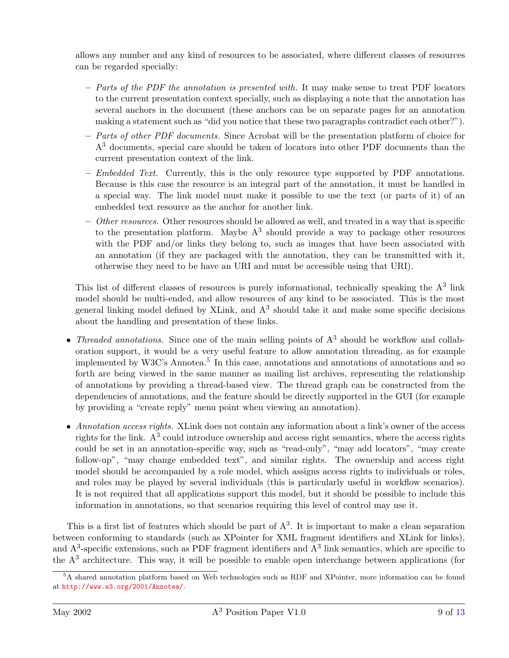allows any number and any kind of resources to be associated, where different classes of resources can be regarded specially:

- $-$  Parts of the PDF the annotation is presented with. It may make sense to treat PDF locators to the current presentation context specially, such as displaying a note that the annotation has several anchors in the document (these anchors can be on separate pages for an annotation making a statement such as "did you notice that these two paragraphs contradict each other?").
- $-$  Parts of other PDF documents. Since Acrobat will be the presentation platform of choice for  $A<sup>3</sup>$  documents, special care should be taken of locators into other PDF documents than the current presentation context of the link.
- $-$  Embedded Text. Currently, this is the only resource type supported by PDF annotations. Because is this case the resource is an integral part of the annotation, it must be handled in a special way. The link model must make it possible to use the text (or parts of it) of an embedded text resource as the anchor for another link.
- $-$  *Other resources.* Other resources should be allowed as well, and treated in a way that is specific to the presentation platform. Maybe  $A<sup>3</sup>$  should provide a way to package other resources with the PDF and/or links they belong to, such as images that have been associated with an annotation (if they are packaged with the annotation, they can be transmitted with it, otherwise they need to be have an URI and must be accessible using that URI).

This list of different classes of resources is purely informational, technically speaking the  $A<sup>3</sup>$  link model should be multi-ended, and allow resources of any kind to be associated. This is the most general linking model defined by XLink, and  $A<sup>3</sup>$  should take it and make some specific decisions about the handling and presentation of these links.

- Threaded annotations. Since one of the main selling points of  $A<sup>3</sup>$  should be workflow and collaboration support, it would be a very useful feature to allow annotation threading, as for example implemented by W3C's Annotea.<sup>5</sup> In this case, annotations and annotations of annotations and so forth are being viewed in the same manner as mailing list archives, representing the relationship of annotations by providing a thread-based view. The thread graph can be constructed from the dependencies of annotations, and the feature should be directly supported in the GUI (for example by providing a "create reply" menu point when viewing an annotation).
- $\bullet$  Annotation access rights. XLink does not contain any information about a link's owner of the access rights for the link.  $A^3$  could introduce ownership and access right semantics, where the access rights could be set in an annotation-specific way, such as "read-only", "may add locators", "may create follow-up", "may change embedded text", and similar rights. The ownership and access right model should be accompanied by a role model, which assigns access rights to individuals or roles, and roles may be played by several individuals (this is particularly useful in workflow scenarios). It is not required that all applications support this model, but it should be possible to include this information in annotations, so that scenarios requiring this level of control may use it.

This is a first list of features which should be part of  $A<sup>3</sup>$ . It is important to make a clean separation between conforming to standards (such as XPointer for XML fragment identifiers and XLink for links), and  $A<sup>3</sup>$ -specific extensions, such as PDF fragment identifiers and  $A<sup>3</sup>$  link semantics, which are specific to the  $A<sup>3</sup>$  architecture. This way, it will be possible to enable open interchange between applications (for

<sup>5</sup>A shared annotation platform based on Web technologies such as RDF and XPointer, more information can be found at <http://www.w3.org/2001/Annotea/>.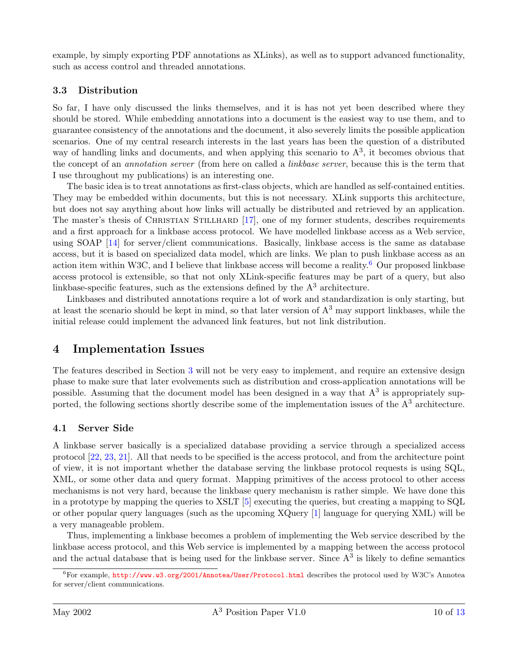<span id="page-9-0"></span>example, by simply exporting PDF annotations as XLinks), as well as to support advanced functionality, such as access control and threaded annotations.

#### 3.3 Distribution

So far, I have only discussed the links themselves, and it is has not yet been described where they should be stored. While embedding annotations into a document is the easiest way to use them, and to guarantee consistency of the annotations and the document, it also severely limits the possible application scenarios. One of my central research interests in the last years has been the question of a distributed way of handling links and documents, and when applying this scenario to  $A<sup>3</sup>$ , it becomes obvious that the concept of an *annotation server* (from here on called a *linkbase server*, because this is the term that I use throughout my publications) is an interesting one.

The basic idea is to treat annotations as first-class objects, which are handled as self-contained entities. They may be embedded within documents, but this is not necessary. XLink supports this architecture, but does not say anything about how links will actually be distributed and retrieved by an application. The master's thesis of CHRISTIAN STILLHARD [\[17\]](#page-12-0), one of my former students, describes requirements and a first approach for a linkbase access protocol. We have modelled linkbase access as a Web service, using SOAP [\[14\]](#page-12-0) for server/client communications. Basically, linkbase access is the same as database access, but it is based on specialized data model, which are links. We plan to push linkbase access as an action item within W3C, and I believe that linkbase access will become a reality.<sup>6</sup> Our proposed linkbase access protocol is extensible, so that not only XLink-specific features may be part of a query, but also linkbase-specific features, such as the extensions defined by the  $A<sup>3</sup>$  architecture.

Linkbases and distributed annotations require a lot of work and standardization is only starting, but at least the scenario should be kept in mind, so that later version of  $A<sup>3</sup>$  may support linkbases, while the initial release could implement the advanced link features, but not link distribution.

## 4 Implementation Issues

The features described in Section [3](#page-6-0) will not be very easy to implement, and require an extensive design phase to make sure that later evolvements such as distribution and cross-application annotations will be possible. Assuming that the document model has been designed in a way that  $A<sup>3</sup>$  is appropriately supported, the following sections shortly describe some of the implementation issues of the  $A<sup>3</sup>$  architecture.

#### 4.1 Server Side

A linkbase server basically is a specialized database providing a service through a specialized access protocol [\[22,](#page-12-0) [23,](#page-12-0) [21\]](#page-12-0). All that needs to be specified is the access protocol, and from the architecture point of view, it is not important whether the database serving the linkbase protocol requests is using SQL, XML, or some other data and query format. Mapping primitives of the access protocol to other access mechanisms is not very hard, because the linkbase query mechanism is rather simple. We have done this in a prototype by mapping the queries to XSLT [\[5\]](#page-12-0) executing the queries, but creating a mapping to SQL or other popular query languages (such as the upcoming XQuery [\[1\]](#page-11-0) language for querying XML) will be a very manageable problem.

Thus, implementing a linkbase becomes a problem of implementing the Web service described by the linkbase access protocol, and this Web service is implemented by a mapping between the access protocol and the actual database that is being used for the linkbase server. Since  $A<sup>3</sup>$  is likely to define semantics

 $6$ For example, <http://www.w3.org/2001/Annotea/User/Protocol.html> describes the protocol used by W3C's Annotea for server/client communications.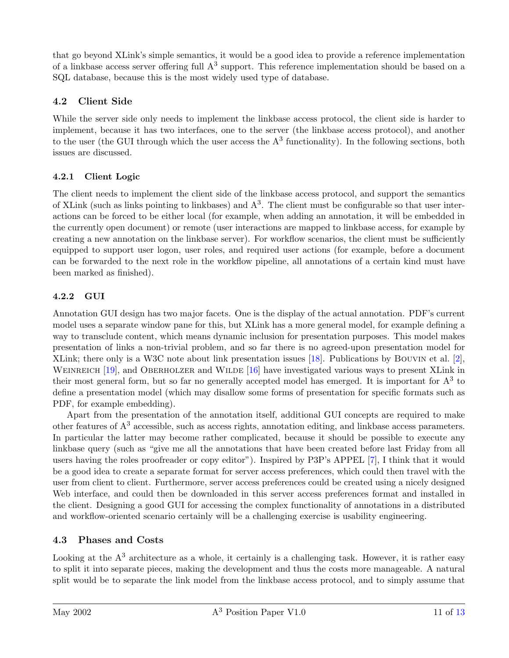<span id="page-10-0"></span>that go beyond XLink's simple semantics, it would be a good idea to provide a reference implementation of a linkbase access server offering full  $A<sup>3</sup>$  support. This reference implementation should be based on a SQL database, because this is the most widely used type of database.

### 4.2 Client Side

While the server side only needs to implement the linkbase access protocol, the client side is harder to implement, because it has two interfaces, one to the server (the linkbase access protocol), and another to the user (the GUI through which the user access the  $A<sup>3</sup>$  functionality). In the following sections, both issues are discussed.

### 4.2.1 Client Logic

The client needs to implement the client side of the linkbase access protocol, and support the semantics of XLink (such as links pointing to linkbases) and  $A<sup>3</sup>$ . The client must be configurable so that user interactions can be forced to be either local (for example, when adding an annotation, it will be embedded in the currently open document) or remote (user interactions are mapped to linkbase access, for example by creating a new annotation on the linkbase server). For workflow scenarios, the client must be sufficiently equipped to support user logon, user roles, and required user actions (for example, before a document can be forwarded to the next role in the workflow pipeline, all annotations of a certain kind must have been marked as finished).

### 4.2.2 GUI

Annotation GUI design has two major facets. One is the display of the actual annotation. PDF's current model uses a separate window pane for this, but XLink has a more general model, for example defining a way to transclude content, which means dynamic inclusion for presentation purposes. This model makes presentation of links a non-trivial problem, and so far there is no agreed-upon presentation model for XLink; there only is a W3C note about link presentation issues [\[18\]](#page-12-0). Publications by Bouvin et al. [\[2\]](#page-11-0), WEINREICH [\[19\]](#page-12-0), and OBERHOLZER and WILDE [\[16\]](#page-12-0) have investigated various ways to present XLink in their most general form, but so far no generally accepted model has emerged. It is important for  $A<sup>3</sup>$  to define a presentation model (which may disallow some forms of presentation for specific formats such as PDF, for example embedding).

Apart from the presentation of the annotation itself, additional GUI concepts are required to make other features of  $A<sup>3</sup>$  accessible, such as access rights, annotation editing, and linkbase access parameters. In particular the latter may become rather complicated, because it should be possible to execute any linkbase query (such as "give me all the annotations that have been created before last Friday from all users having the roles proofreader or copy editor"). Inspired by P3P's APPEL [\[7\]](#page-12-0), I think that it would be a good idea to create a separate format for server access preferences, which could then travel with the user from client to client. Furthermore, server access preferences could be created using a nicely designed Web interface, and could then be downloaded in this server access preferences format and installed in the client. Designing a good GUI for accessing the complex functionality of annotations in a distributed and workflow-oriented scenario certainly will be a challenging exercise is usability engineering.

### 4.3 Phases and Costs

Looking at the  $A<sup>3</sup>$  architecture as a whole, it certainly is a challenging task. However, it is rather easy to split it into separate pieces, making the development and thus the costs more manageable. A natural split would be to separate the link model from the linkbase access protocol, and to simply assume that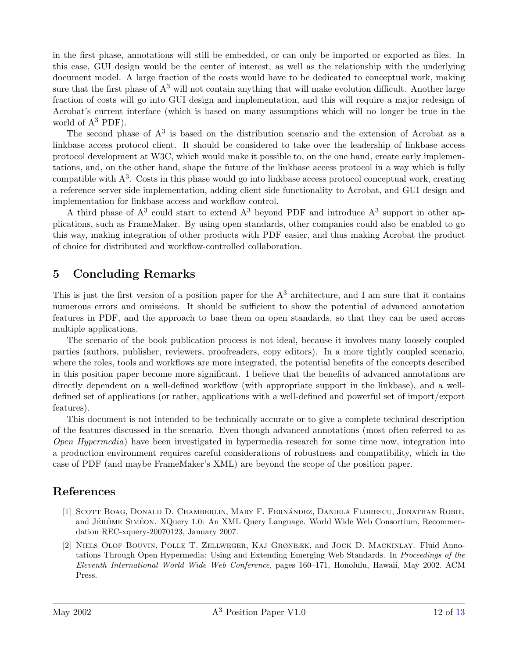<span id="page-11-0"></span>in the first phase, annotations will still be embedded, or can only be imported or exported as files. In this case, GUI design would be the center of interest, as well as the relationship with the underlying document model. A large fraction of the costs would have to be dedicated to conceptual work, making sure that the first phase of  $A<sup>3</sup>$  will not contain anything that will make evolution difficult. Another large fraction of costs will go into GUI design and implementation, and this will require a major redesign of Acrobat's current interface (which is based on many assumptions which will no longer be true in the world of  $A^3$  PDF).

The second phase of  $A<sup>3</sup>$  is based on the distribution scenario and the extension of Acrobat as a linkbase access protocol client. It should be considered to take over the leadership of linkbase access protocol development at W3C, which would make it possible to, on the one hand, create early implementations, and, on the other hand, shape the future of the linkbase access protocol in a way which is fully compatible with  $A<sup>3</sup>$ . Costs in this phase would go into linkbase access protocol conceptual work, creating a reference server side implementation, adding client side functionality to Acrobat, and GUI design and implementation for linkbase access and workflow control.

A third phase of  $A<sup>3</sup>$  could start to extend  $A<sup>3</sup>$  beyond PDF and introduce  $A<sup>3</sup>$  support in other applications, such as FrameMaker. By using open standards, other companies could also be enabled to go this way, making integration of other products with PDF easier, and thus making Acrobat the product of choice for distributed and workflow-controlled collaboration.

## 5 Concluding Remarks

This is just the first version of a position paper for the  $A<sup>3</sup>$  architecture, and I am sure that it contains numerous errors and omissions. It should be sufficient to show the potential of advanced annotation features in PDF, and the approach to base them on open standards, so that they can be used across multiple applications.

The scenario of the book publication process is not ideal, because it involves many loosely coupled parties (authors, publisher, reviewers, proofreaders, copy editors). In a more tightly coupled scenario, where the roles, tools and workflows are more integrated, the potential benefits of the concepts described in this position paper become more significant. I believe that the benefits of advanced annotations are directly dependent on a well-defined workflow (with appropriate support in the linkbase), and a welldefined set of applications (or rather, applications with a well-defined and powerful set of import/export features).

This document is not intended to be technically accurate or to give a complete technical description of the features discussed in the scenario. Even though advanced annotations (most often referred to as Open Hypermedia) have been investigated in hypermedia research for some time now, integration into a production environment requires careful considerations of robustness and compatibility, which in the case of PDF (and maybe FrameMaker's XML) are beyond the scope of the position paper.

## References

- [1] SCOTT BOAG, DONALD D. CHAMBERLIN, MARY F. FERNÁNDEZ, DANIELA FLORESCU, JONATHAN ROBIE, and JÉRÔME SIMÉON. XQuery 1.0: An XML Query Language. World Wide Web Consortium, Recommendation REC-xquery-20070123, January 2007.
- [2] Niels Olof Bouvin, Polle T. Zellweger, Kaj Grønbæk, and Jock D. Mackinlay. Fluid Annotations Through Open Hypermedia: Using and Extending Emerging Web Standards. In Proceedings of the Eleventh International World Wide Web Conference, pages 160–171, Honolulu, Hawaii, May 2002. ACM Press.